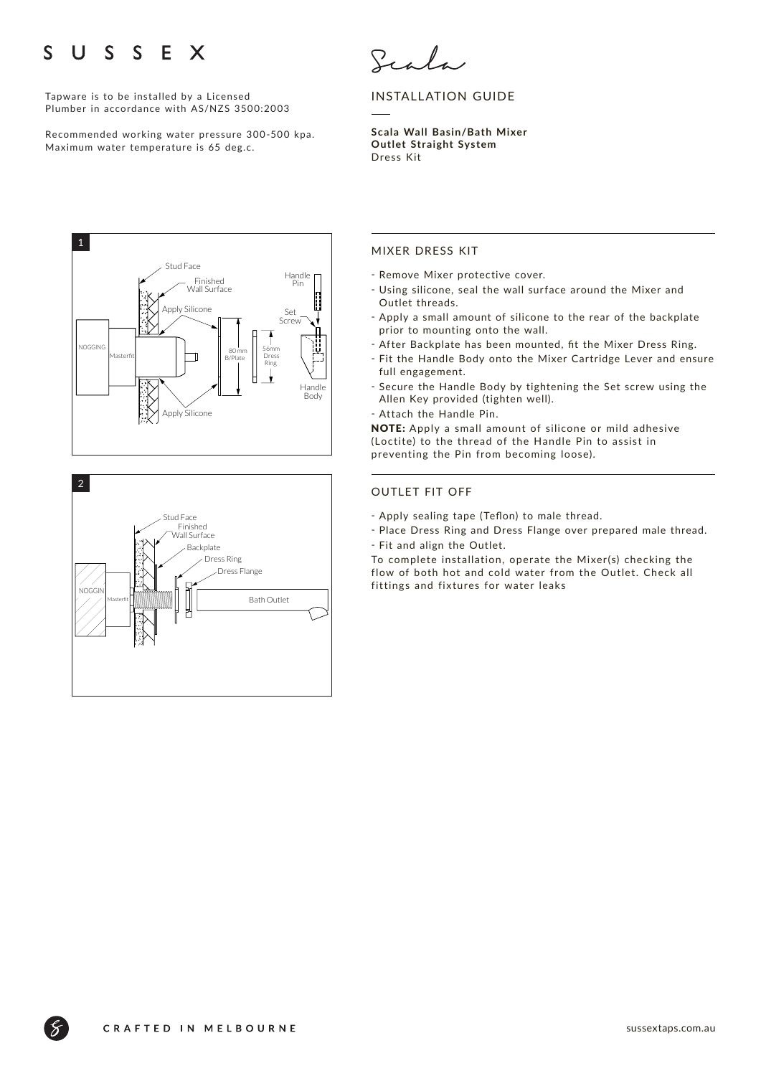### $S \quad S$ S  $\mathbf{U}$ E X

Tapware is to be installed by a Licensed Plumber in accordance with AS/NZS 3500:2003

Recommended working water pressure 300-500 kpa. Maximum water temperature is 65 deg.c.

Scala

## INSTALLATION GUIDE

**Scala Wall Basin/Bath Mixer Outlet Straight System**  Dress Kit





### MIXER DRESS KIT

- Remove Mixer protective cover.
- ҃ Using silicone, seal the wall surface around the Mixer and Outlet threads.
- Apply a small amount of silicone to the rear of the backplate prior to mounting onto the wall.
- After Backplate has been mounted, fit the Mixer Dress Ring.
- ҃ Fit the Handle Body onto the Mixer Cartridge Lever and ensure full engagement.
- Secure the Handle Body by tightening the Set screw using the Allen Key provided (tighten well).
- Attach the Handle Pin.

NOTE: Apply a small amount of silicone or mild adhesive (Loctite) to the thread of the Handle Pin to assist in preventing the Pin from becoming loose).

### OUTLET FIT OFF

- Apply sealing tape (Teflon) to male thread.
- Place Dress Ring and Dress Flange over prepared male thread. - Fit and align the Outlet.

To complete installation, operate the Mixer(s) checking the flow of both hot and cold water from the Outlet. Check all fittings and fixtures for water leaks